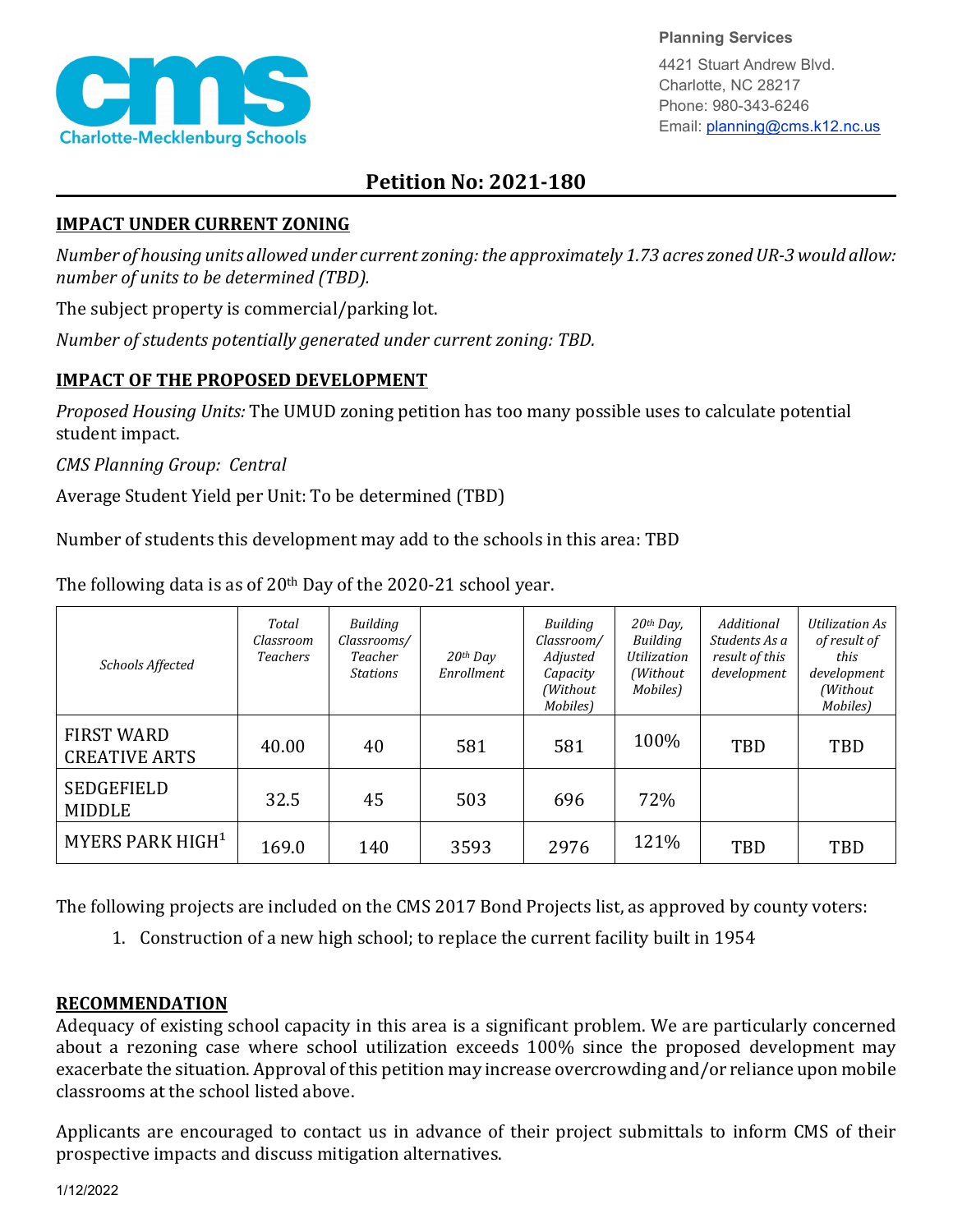

**Planning Services**

4421 Stuart Andrew Blvd. Charlotte, NC 28217 Phone: 980-343-6246 Email: planning@cms.k12.nc.us

## **Petition No: 2021-180**

## **IMPACT UNDER CURRENT ZONING**

*Number of housing units allowed under current zoning: the approximately 1.73 acres zonedUR-3 would allow: number of units to be determined (TBD).*

The subject property is commercial/parking lot.

*Number of students potentially generated under current zoning: TBD.*

## **IMPACT OF THE PROPOSED DEVELOPMENT**

*Proposed Housing Units:* The UMUD zoning petition has too many possible uses to calculate potential student impact.

*CMS Planning Group: Central*

Average Student Yield per Unit: To be determined (TBD)

Number of students this development may add to the schools in this area: TBD

| Schools Affected                          | Total<br>Classroom<br><b>Teachers</b> | Building<br>Classrooms/<br>Teacher<br><b>Stations</b> | $20$ <sup>th</sup> Dav<br>Enrollment | Building<br>Classroom/<br>Adjusted<br>Capacity<br>(Without<br>Mobiles) | 20th Day,<br>Building<br><b>Utilization</b><br>(Without)<br>Mobiles) | Additional<br>Students As a<br>result of this<br>development | Utilization As<br>of result of<br>this<br>development<br>(Without<br>Mobiles) |
|-------------------------------------------|---------------------------------------|-------------------------------------------------------|--------------------------------------|------------------------------------------------------------------------|----------------------------------------------------------------------|--------------------------------------------------------------|-------------------------------------------------------------------------------|
| <b>FIRST WARD</b><br><b>CREATIVE ARTS</b> | 40.00                                 | 40                                                    | 581                                  | 581                                                                    | 100%                                                                 | TBD                                                          | TBD                                                                           |
| <b>SEDGEFIELD</b><br><b>MIDDLE</b>        | 32.5                                  | 45                                                    | 503                                  | 696                                                                    | 72%                                                                  |                                                              |                                                                               |
| MYERS PARK HIGH <sup>1</sup>              | 169.0                                 | 140                                                   | 3593                                 | 2976                                                                   | 121%                                                                 | TBD                                                          | TBD                                                                           |

The following data is as of 20<sup>th</sup> Day of the 2020-21 school year.

The following projects are included on the CMS 2017 Bond Projects list, as approved by county voters:

1. Construction of a new high school; to replace the current facility built in 1954

## **RECOMMENDATION**

Adequacy of existing school capacity in this area is a significant problem. We are particularly concerned about a rezoning case where school utilization exceeds 100% since the proposed development may exacerbate the situation. Approval of this petition may increase overcrowding and/or reliance upon mobile classrooms at the school listed above.

Applicants are encouraged to contact us in advance of their project submittals to inform CMS of their prospective impacts and discuss mitigation alternatives.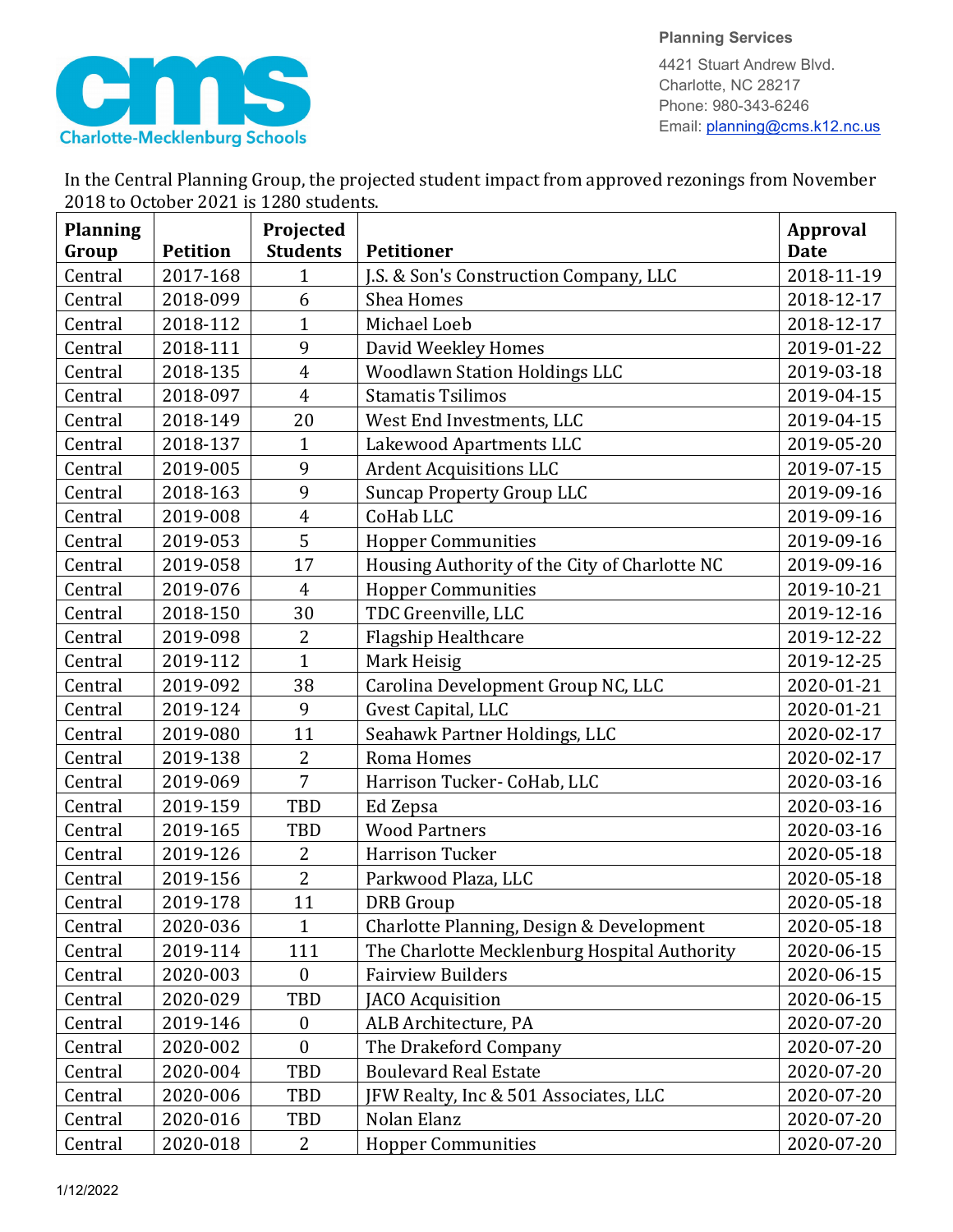

**Planning Services** 4421 Stuart Andrew Blvd. Charlotte, NC 28217

Phone: 980-343-6246 Email: planning@cms.k12.nc.us

|                                        | In the Central Planning Group, the projected student impact from approved rezonings from November |  |
|----------------------------------------|---------------------------------------------------------------------------------------------------|--|
| 2018 to October 2021 is 1280 students. |                                                                                                   |  |
|                                        |                                                                                                   |  |

| <b>Planning</b> |                 | Projected        |                                               | <b>Approval</b> |
|-----------------|-----------------|------------------|-----------------------------------------------|-----------------|
| Group           | <b>Petition</b> | <b>Students</b>  | <b>Petitioner</b>                             | <b>Date</b>     |
| Central         | 2017-168        | $\mathbf 1$      | J.S. & Son's Construction Company, LLC        | 2018-11-19      |
| Central         | 2018-099        | 6                | <b>Shea Homes</b>                             | 2018-12-17      |
| Central         | 2018-112        | $\mathbf{1}$     | Michael Loeb                                  | 2018-12-17      |
| Central         | 2018-111        | 9                | David Weekley Homes                           | 2019-01-22      |
| Central         | 2018-135        | $\overline{4}$   | <b>Woodlawn Station Holdings LLC</b>          | 2019-03-18      |
| Central         | 2018-097        | $\overline{4}$   | <b>Stamatis Tsilimos</b>                      | 2019-04-15      |
| Central         | 2018-149        | 20               | West End Investments, LLC                     | 2019-04-15      |
| Central         | 2018-137        | $\mathbf{1}$     | Lakewood Apartments LLC                       | 2019-05-20      |
| Central         | 2019-005        | 9                | <b>Ardent Acquisitions LLC</b>                | 2019-07-15      |
| Central         | 2018-163        | 9                | <b>Suncap Property Group LLC</b>              | 2019-09-16      |
| Central         | 2019-008        | $\boldsymbol{4}$ | CoHab LLC                                     | 2019-09-16      |
| Central         | 2019-053        | 5                | <b>Hopper Communities</b>                     | 2019-09-16      |
| Central         | 2019-058        | 17               | Housing Authority of the City of Charlotte NC | 2019-09-16      |
| Central         | 2019-076        | $\overline{4}$   | <b>Hopper Communities</b>                     | 2019-10-21      |
| Central         | 2018-150        | 30               | TDC Greenville, LLC                           | 2019-12-16      |
| Central         | 2019-098        | $\overline{2}$   | Flagship Healthcare                           | 2019-12-22      |
| Central         | 2019-112        | $\mathbf{1}$     | Mark Heisig                                   | 2019-12-25      |
| Central         | 2019-092        | 38               | Carolina Development Group NC, LLC            | 2020-01-21      |
| Central         | 2019-124        | 9                | Gvest Capital, LLC                            | 2020-01-21      |
| Central         | 2019-080        | 11               | Seahawk Partner Holdings, LLC                 | 2020-02-17      |
| Central         | 2019-138        | $\overline{2}$   | Roma Homes                                    | 2020-02-17      |
| Central         | 2019-069        | $\overline{7}$   | Harrison Tucker- CoHab, LLC                   | 2020-03-16      |
| Central         | 2019-159        | TBD              | Ed Zepsa                                      | 2020-03-16      |
| Central         | 2019-165        | TBD              | <b>Wood Partners</b>                          | 2020-03-16      |
| Central         | 2019-126        | $\overline{2}$   | <b>Harrison Tucker</b>                        | 2020-05-18      |
| Central         | 2019-156        | $\overline{2}$   | Parkwood Plaza, LLC                           | 2020-05-18      |
| Central         | 2019-178        | 11               | <b>DRB</b> Group                              | 2020-05-18      |
| Central         | 2020-036        | $\mathbf{1}$     | Charlotte Planning, Design & Development      | 2020-05-18      |
| Central         | 2019-114        | 111              | The Charlotte Mecklenburg Hospital Authority  | 2020-06-15      |
| Central         | 2020-003        | $\boldsymbol{0}$ | <b>Fairview Builders</b>                      | 2020-06-15      |
| Central         | 2020-029        | TBD              | JACO Acquisition                              | 2020-06-15      |
| Central         | 2019-146        | $\boldsymbol{0}$ | ALB Architecture, PA                          | 2020-07-20      |
| Central         | 2020-002        | $\mathbf{0}$     | The Drakeford Company                         | 2020-07-20      |
| Central         | 2020-004        | <b>TBD</b>       | <b>Boulevard Real Estate</b>                  | 2020-07-20      |
| Central         | 2020-006        | TBD              | JFW Realty, Inc & 501 Associates, LLC         | 2020-07-20      |
| Central         | 2020-016        | TBD              | Nolan Elanz                                   | 2020-07-20      |
| Central         | 2020-018        | $\overline{2}$   | <b>Hopper Communities</b>                     | 2020-07-20      |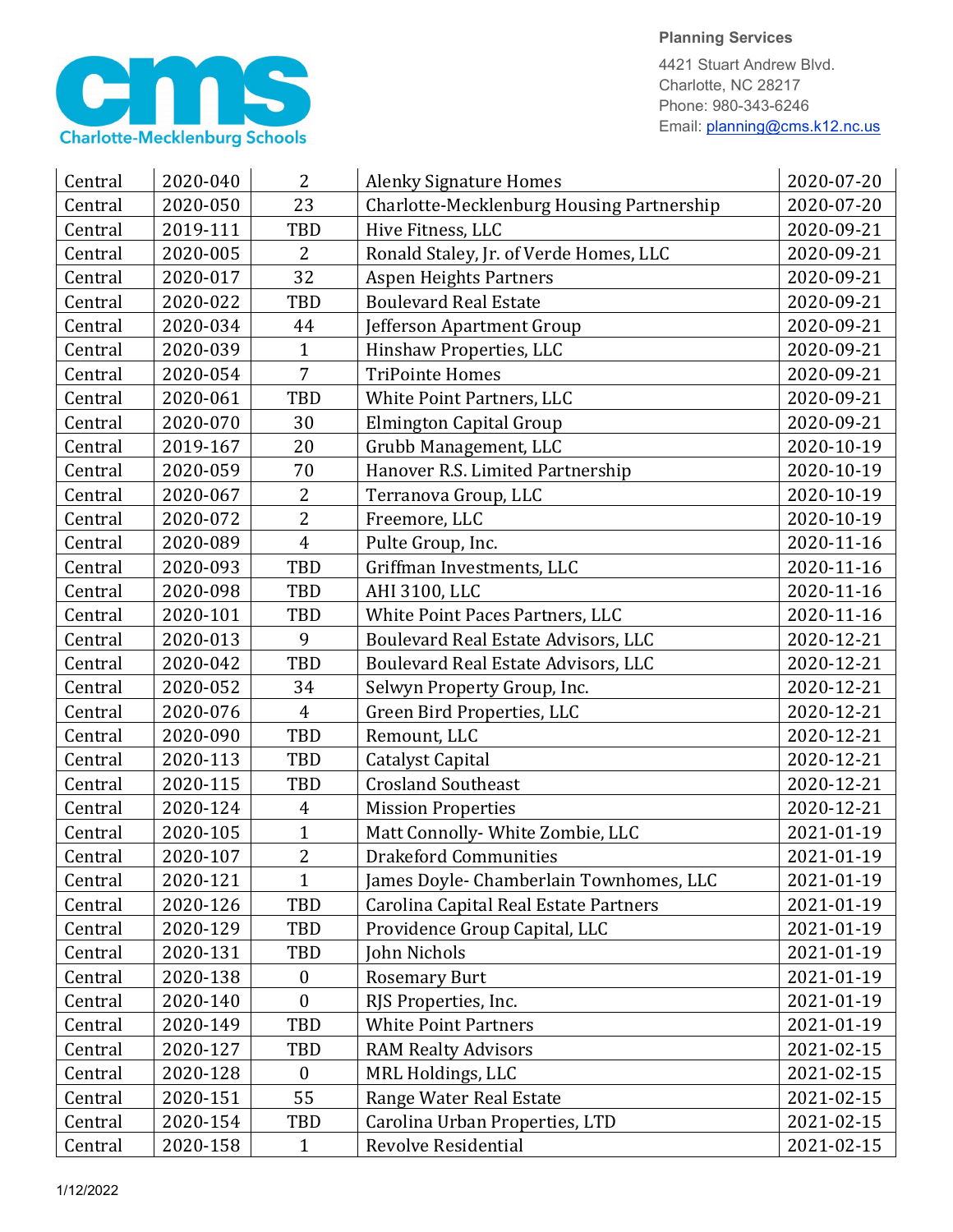

**Planning Services**

4421 Stuart Andrew Blvd. Charlotte, NC 28217 Phone: 980-343-6246 Email: planning@cms.k12.nc.us

| Central | 2020-040 | 2              | <b>Alenky Signature Homes</b>             | 2020-07-20 |
|---------|----------|----------------|-------------------------------------------|------------|
| Central | 2020-050 | 23             | Charlotte-Mecklenburg Housing Partnership | 2020-07-20 |
| Central | 2019-111 | TBD            | Hive Fitness, LLC                         | 2020-09-21 |
| Central | 2020-005 | $\overline{2}$ | Ronald Staley, Jr. of Verde Homes, LLC    | 2020-09-21 |
| Central | 2020-017 | 32             | <b>Aspen Heights Partners</b>             | 2020-09-21 |
| Central | 2020-022 | <b>TBD</b>     | <b>Boulevard Real Estate</b>              | 2020-09-21 |
| Central | 2020-034 | 44             | Jefferson Apartment Group                 | 2020-09-21 |
| Central | 2020-039 | 1              | Hinshaw Properties, LLC                   | 2020-09-21 |
| Central | 2020-054 | $\overline{7}$ | <b>TriPointe Homes</b>                    | 2020-09-21 |
| Central | 2020-061 | TBD            | White Point Partners, LLC                 | 2020-09-21 |
| Central | 2020-070 | 30             | Elmington Capital Group                   | 2020-09-21 |
| Central | 2019-167 | 20             | Grubb Management, LLC                     | 2020-10-19 |
| Central | 2020-059 | 70             | Hanover R.S. Limited Partnership          | 2020-10-19 |
| Central | 2020-067 | $\overline{c}$ | Terranova Group, LLC                      | 2020-10-19 |
| Central | 2020-072 | $\overline{2}$ | Freemore, LLC                             | 2020-10-19 |
| Central | 2020-089 | $\overline{4}$ | Pulte Group, Inc.                         | 2020-11-16 |
| Central | 2020-093 | TBD            | Griffman Investments, LLC                 | 2020-11-16 |
| Central | 2020-098 | TBD            | AHI 3100, LLC                             | 2020-11-16 |
| Central | 2020-101 | TBD            | White Point Paces Partners, LLC           | 2020-11-16 |
| Central | 2020-013 | 9              | Boulevard Real Estate Advisors, LLC       | 2020-12-21 |
| Central | 2020-042 | TBD            | Boulevard Real Estate Advisors, LLC       | 2020-12-21 |
| Central | 2020-052 | 34             | Selwyn Property Group, Inc.               | 2020-12-21 |
| Central | 2020-076 | $\overline{4}$ | Green Bird Properties, LLC                | 2020-12-21 |
| Central | 2020-090 | TBD            | Remount, LLC                              | 2020-12-21 |
| Central | 2020-113 | <b>TBD</b>     | Catalyst Capital                          | 2020-12-21 |
| Central | 2020-115 | TBD            | <b>Crosland Southeast</b>                 | 2020-12-21 |
| Central | 2020-124 | 4              | <b>Mission Properties</b>                 | 2020-12-21 |
| Central | 2020-105 | $\mathbf{1}$   | Matt Connolly- White Zombie, LLC          | 2021-01-19 |
| Central | 2020-107 | $\overline{2}$ | <b>Drakeford Communities</b>              | 2021-01-19 |
| Central | 2020-121 | 1              | James Doyle- Chamberlain Townhomes, LLC   | 2021-01-19 |
| Central | 2020-126 | TBD            | Carolina Capital Real Estate Partners     | 2021-01-19 |
| Central | 2020-129 | TBD            | Providence Group Capital, LLC             | 2021-01-19 |
| Central | 2020-131 | TBD            | John Nichols                              | 2021-01-19 |
| Central | 2020-138 | $\bf{0}$       | <b>Rosemary Burt</b>                      | 2021-01-19 |
| Central | 2020-140 | $\mathbf{0}$   | RJS Properties, Inc.                      | 2021-01-19 |
| Central | 2020-149 | TBD            | <b>White Point Partners</b>               | 2021-01-19 |
| Central | 2020-127 | TBD            | <b>RAM Realty Advisors</b>                | 2021-02-15 |
| Central | 2020-128 | $\bf{0}$       | MRL Holdings, LLC                         | 2021-02-15 |
| Central | 2020-151 | 55             | Range Water Real Estate                   | 2021-02-15 |
| Central | 2020-154 | TBD            | Carolina Urban Properties, LTD            | 2021-02-15 |
| Central | 2020-158 | $\mathbf{1}$   | Revolve Residential                       | 2021-02-15 |